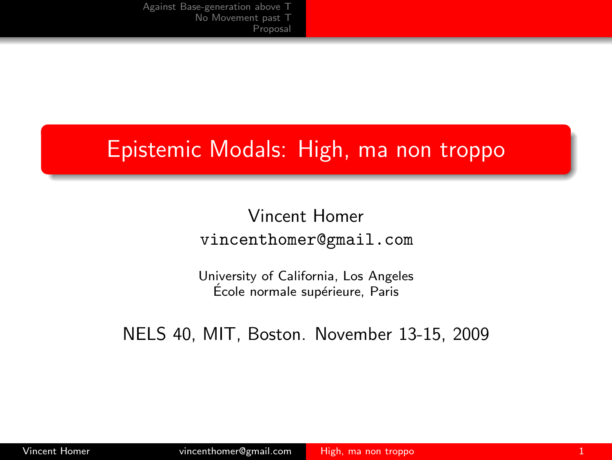## Epistemic Modals: High, ma non troppo

Vincent Homer vincenthomer@gmail.com

<span id="page-0-0"></span>University of California, Los Angeles École normale supérieure, Paris

NELS 40, MIT, Boston. November 13-15, 2009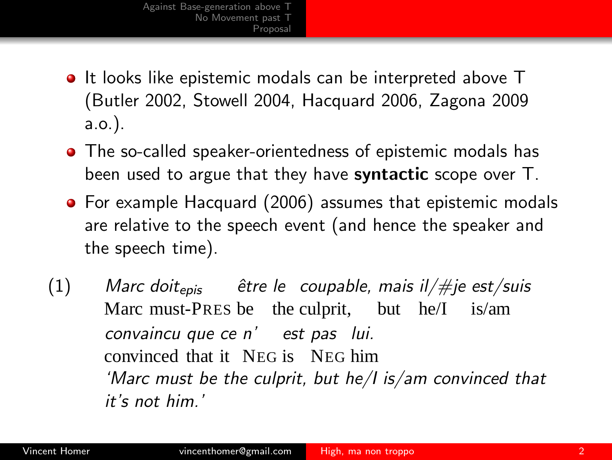- **It looks like epistemic modals can be interpreted above T** (Butler 2002, Stowell 2004, Hacquard 2006, Zagona 2009 a.o.).
- The so-called speaker-orientedness of epistemic modals has been used to argue that they have **syntactic** scope over T.
- **•** For example Hacquard (2006) assumes that epistemic modals are relative to the speech event (and hence the speaker and the speech time).
- (1) *Marc doit*epis Marc must-PRES be the culprit, but he/I is/am *ˆetre le coupable, mais il/#je est/suis convaincu que ce n' est pas lui.* convinced that it NEG is NEG him *'Marc must be the culprit, but he/I is/am convinced that it's not him.'*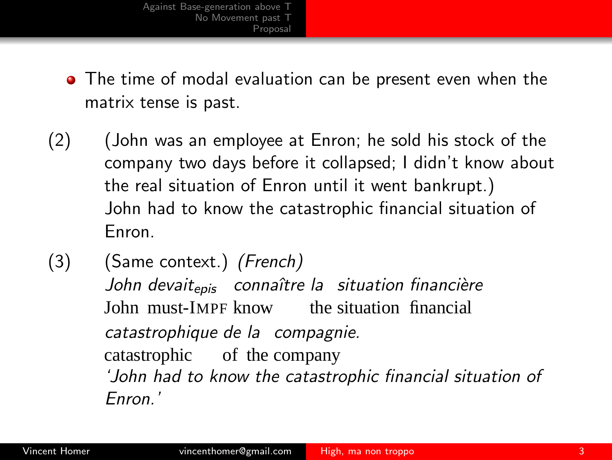- The time of modal evaluation can be present even when the matrix tense is past.
- (2) (John was an employee at Enron; he sold his stock of the company two days before it collapsed; I didn't know about the real situation of Enron until it went bankrupt.) John had to know the catastrophic financial situation of Enron.
- (3) (Same context.) *(French) John devait*epis *connaˆıtre la situation financi`ere* John must-IMPF know the situation financial *catastrophique de la compagnie.* catastrophic of the company *'John had to know the catastrophic financial situation of Enron.'*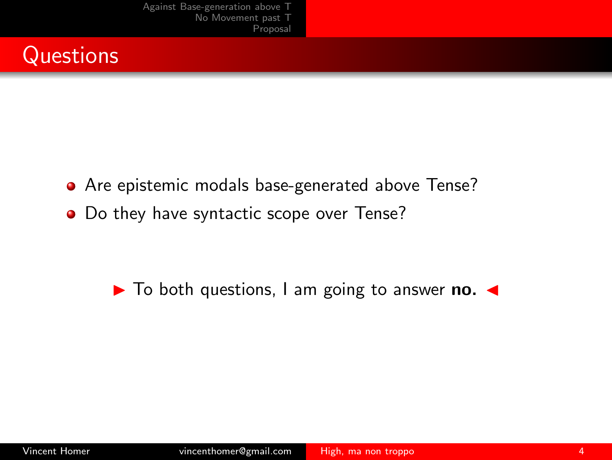

- Are epistemic modals base-generated above Tense?
- Do they have syntactic scope over Tense?

► To both questions, I am going to answer no. ←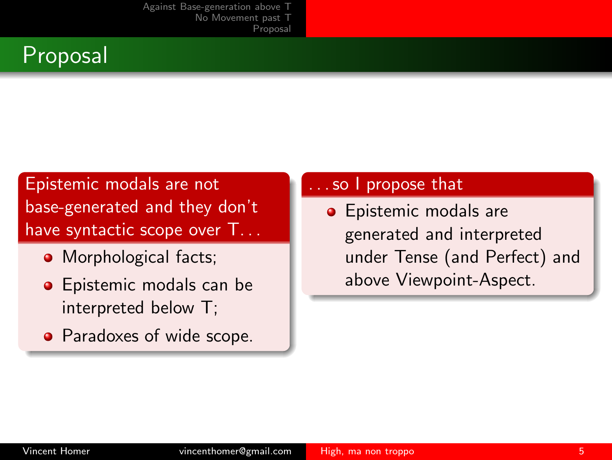

#### Epistemic modals are not base-generated and they don't have syntactic scope over  $T_{\cdots}$

- Morphological facts;
- **•** Epistemic modals can be interpreted below T;
- Paradoxes of wide scope.

#### so I propose that

**•** Epistemic modals are generated and interpreted under Tense (and Perfect) and above Viewpoint-Aspect.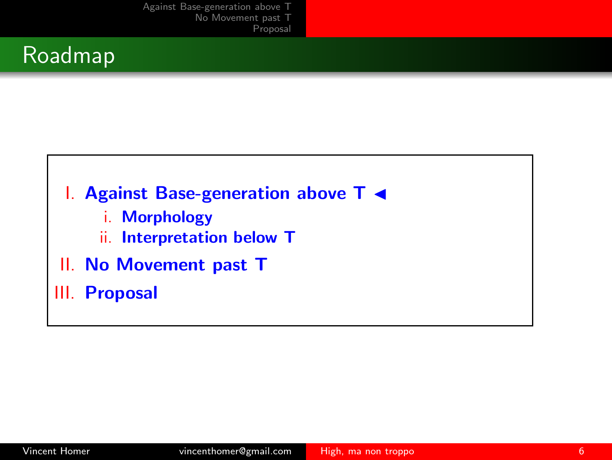

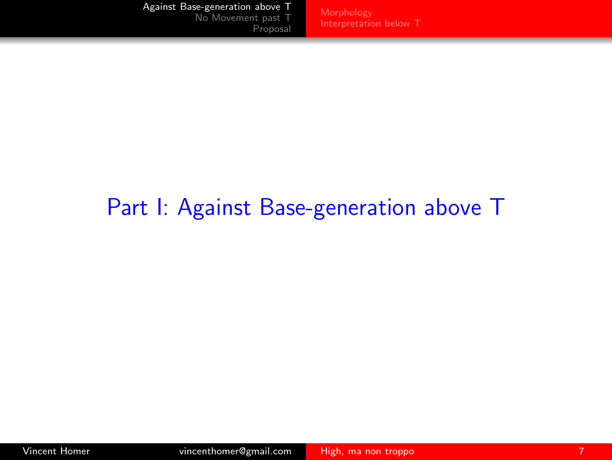[Interpretation below T](#page-10-0)

# <span id="page-6-0"></span>Part I: Against Base-generation above T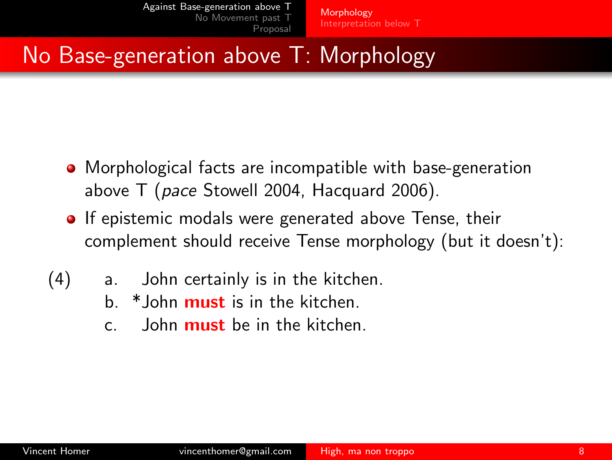# No Base-generation above T: Morphology

- Morphological facts are incompatible with base-generation above T (*pace* Stowell 2004, Hacquard 2006).
- **If epistemic modals were generated above Tense, their** complement should receive Tense morphology (but it doesn't):
- <span id="page-7-0"></span>(4) a. John certainly is in the kitchen.
	- b. \*John must is in the kitchen.
	- c. John must be in the kitchen.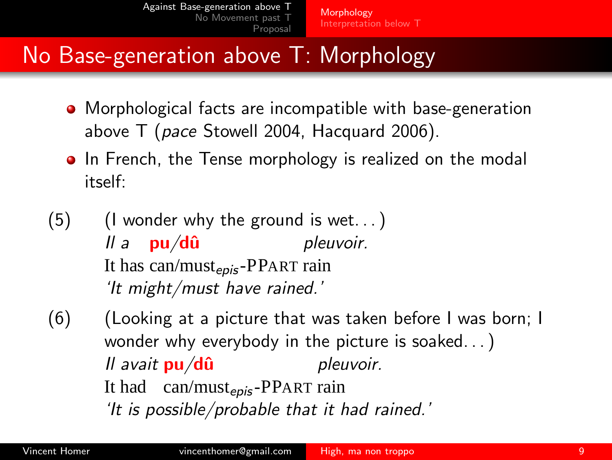# No Base-generation above T: Morphology

- Morphological facts are incompatible with base-generation above T (*pace* Stowell 2004, Hacquard 2006).
- In French, the Tense morphology is realized on the modal itself:
- $(5)$  (I wonder why the ground is wet...) *ll a* pu/dû It has can/must<sub>epis</sub>-PPART rain *pleuvoir. 'It might/must have rained.'*
- (6) (Looking at a picture that was taken before I was born; I wonder why everybody in the picture is soaked. . . ) *II avait pu/dû* It had can/must<sub>epis</sub>-PPART rain *pleuvoir. 'It is possible/probable that it had rained.'*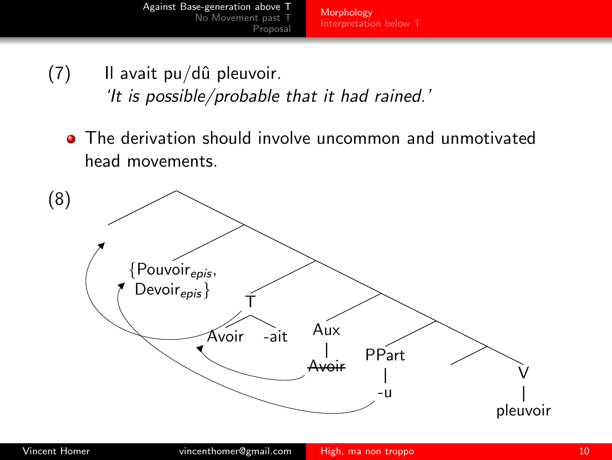[Morphology](#page-7-0) [Interpretation below T](#page-10-0)

- $(7)$  Il avait pu/dû pleuvoir. *'It is possible/probable that it had rained.'*
	- The derivation should involve uncommon and unmotivated head movements.

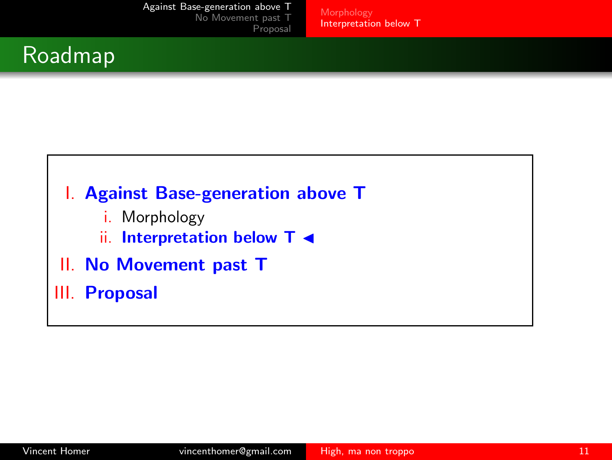[Interpretation below T](#page-10-0)

## Roadmap



II. No Movement past T

<span id="page-10-0"></span>III. Proposal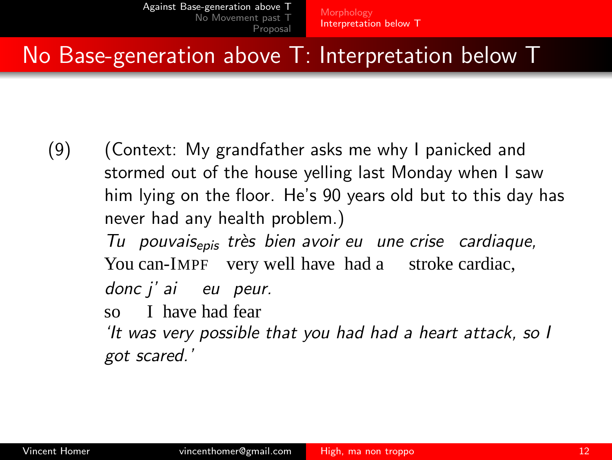# No Base-generation above T: Interpretation below T

- <span id="page-11-0"></span>(9) (Context: My grandfather asks me why I panicked and stormed out of the house yelling last Monday when I saw him lying on the floor. He's 90 years old but to this day has never had any health problem.)
	- *Tu pouvais*epis *tr`es bien avoir eu une crise cardiaque,* You can-IMPF very well have had a stroke cardiac,
	- *donc j' ai eu peur.*
	- so I have had fear
	- *'It was very possible that you had had a heart attack, so I got scared.'*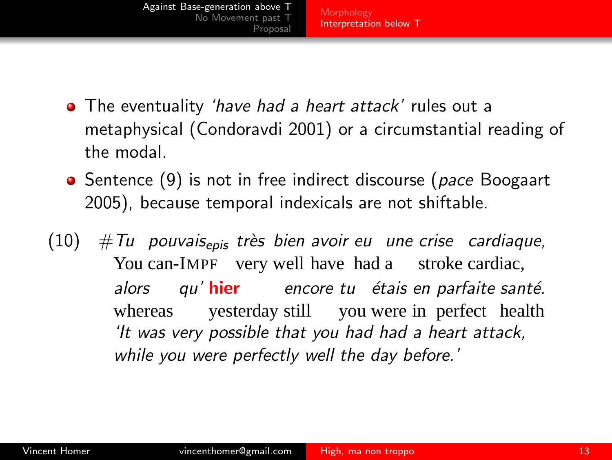[Against Base-generation above T](#page-6-0) [No Movement past T](#page-19-0) [Proposal](#page-41-0) [Morphology](#page-7-0) [Interpretation below T](#page-10-0)

- The eventuality *'have had a heart attack'* rules out a metaphysical (Condoravdi 2001) or a circumstantial reading of the modal.
- Sentence [\(9\)](#page-11-0) is not in free indirect discourse (*pace* Boogaart 2005), because temporal indexicals are not shiftable.
- (10) #*Tu pouvais*epis *tr`es bien avoir eu une crise cardiaque,* You can-IMPF very well have had a stroke cardiac, *alors* whereas *qu'* hier *encore tu ´etais en parfaite sant´e.* yesterday still you were in perfect health *'It was very possible that you had had a heart attack, while you were perfectly well the day before.'*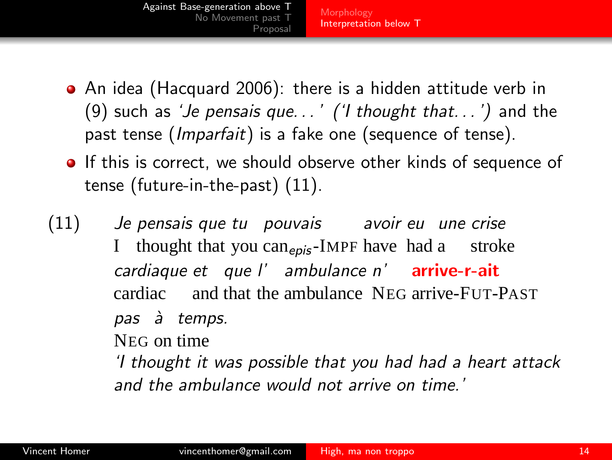- [Against Base-generation above T](#page-6-0) [No Movement past T](#page-19-0) [Proposal](#page-41-0) [Morphology](#page-7-0) [Interpretation below T](#page-10-0)
- An idea (Hacquard 2006): there is a hidden attitude verb in [\(9\)](#page-11-0) such as *'Je pensais que. . . ' ('I thought that. . . ')* and the past tense (*Imparfait*) is a fake one (sequence of tense).
- **If this is correct, we should observe other kinds of sequence of** tense (future-in-the-past) [\(11\).](#page-13-0)
- $(11)$ I *pensais que tu pouvais avoir eu une crise* thought that you can<sub>epis</sub>-IMPF have had a stroke *cardiaque et que l' ambulance n'* arrive-r-ait cardiac and that the ambulance NEG arrive-FUT-PAST *pas `a temps.* NEG on time *'I thought it was possible that you had had a heart attack*

<span id="page-13-0"></span>*and the ambulance would not arrive on time.'*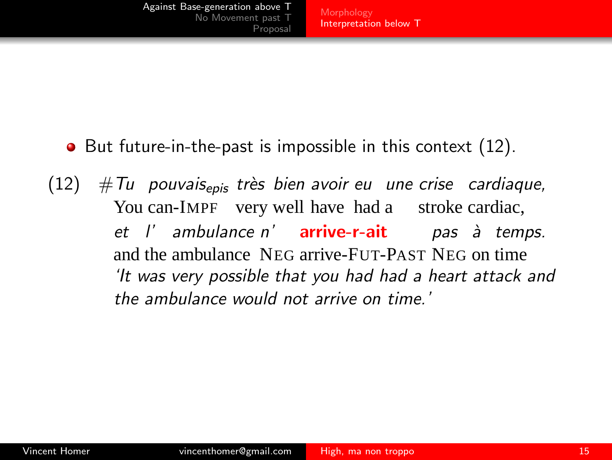- <span id="page-14-0"></span>• But future-in-the-past is impossible in this context [\(12\).](#page-14-0)
- (12) #*Tu pouvais*epis *tr`es bien avoir eu une crise cardiaque,* You can-IMPF very well have had a stroke cardiac, *et l' ambulance n'* arrive-r-ait *pas `a temps.* and the ambulance NEG arrive-FUT-PAST NEG on time *'It was very possible that you had had a heart attack and the ambulance would not arrive on time.'*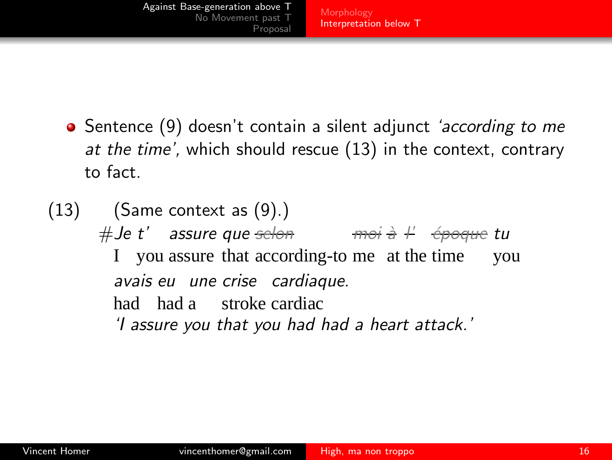[Against Base-generation above T](#page-6-0) [No Movement past T](#page-19-0) [Proposal](#page-41-0) [Morphology](#page-7-0) [Interpretation below T](#page-10-0)

- Sentence [\(9\)](#page-11-0) doesn't contain a silent adjunct *'according to me at the time',* which should rescue [\(13\)](#page-15-0) in the context, contrary to fact.
- <span id="page-15-0"></span> $(13)$  (Same context as  $(9)$ .) #*Je t' assure que selon moi `a l' ´epoque tu* I you assure that according-to me at the time you *avais eu une crise cardiaque.* had had a stroke cardiac *'I assure you that you had had a heart attack.'*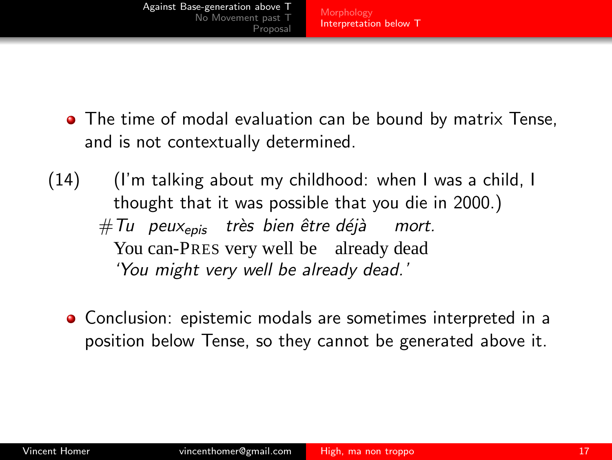[Morphology](#page-7-0) [Interpretation below T](#page-10-0)

- The time of modal evaluation can be bound by matrix Tense, and is not contextually determined.
- (14) (I'm talking about my childhood: when I was a child, I thought that it was possible that you die in 2000.)  $\# \mathsf{T}$ u peux<sub>epis</sub> très bien être déjà You can-PRES very well be already dead *mort. 'You might very well be already dead.'*
	- Conclusion: epistemic modals are sometimes interpreted in a position below Tense, so they cannot be generated above it.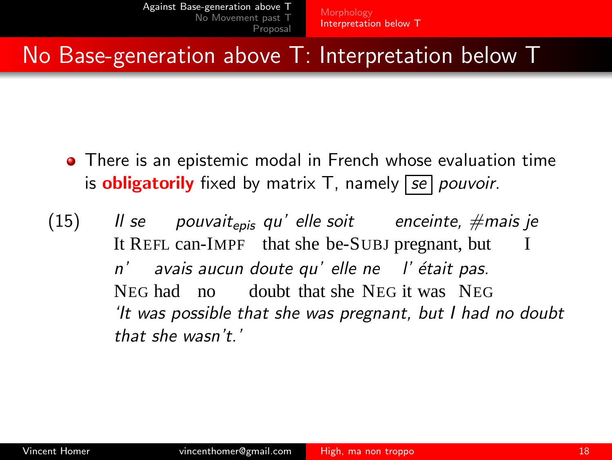# No Base-generation above T: Interpretation below T

- There is an epistemic modal in French whose evaluation time is obligatorily fixed by matrix T, namely *se pouvoir.*
- $(15)$ It REFL can-IMPF that she be-SUBJ pregnant, but *se pouvait*epis *qu' elle soit enceinte, #mais je* I *n' avais aucun doute qu' elle ne l' ´etait pas.* NEG had no doubt that she NEG it was NEG *'It was possible that she was pregnant, but I had no doubt that she wasn't.'*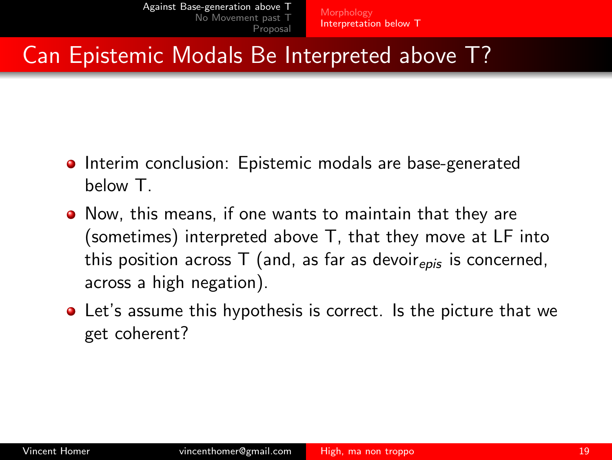# Can Epistemic Modals Be Interpreted above T?

- **•** Interim conclusion: Epistemic modals are base-generated below T.
- Now, this means, if one wants to maintain that they are (sometimes) interpreted above T, that they move at LF into this position across  $T$  (and, as far as devoir $_{e\text{pis}}$  is concerned, across a high negation).
- Let's assume this hypothesis is correct. Is the picture that we get coherent?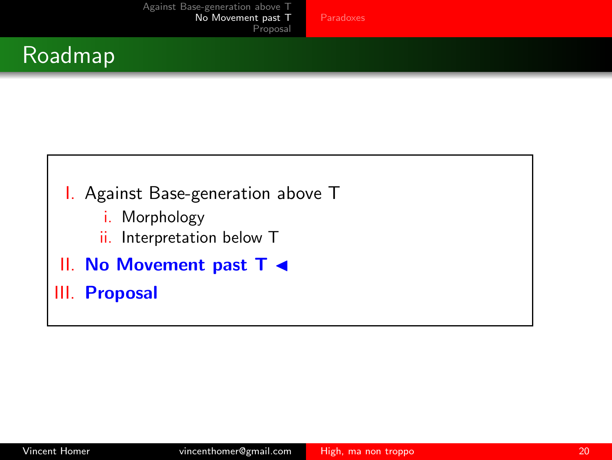## Roadmap



- i. Morphology
- <span id="page-19-0"></span>ii. Interpretation below T
- II. No Movement past T ◀

III. Proposal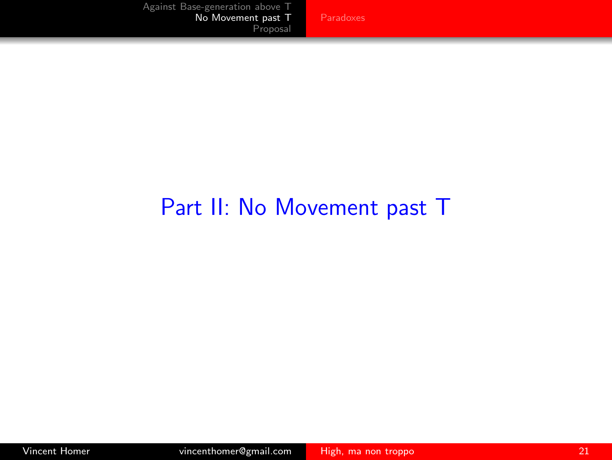## Part II: No Movement past T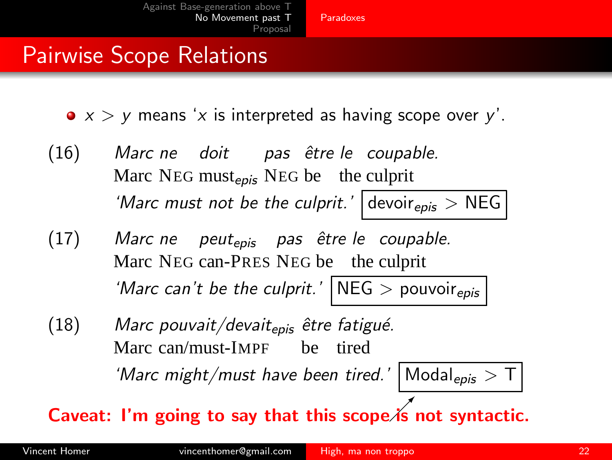- *x* > *y* means '*x* is interpreted as having scope over *y*'.
- (16) *Marc ne doit pas ˆetre le coupable.* Marc NEG must<sub>epis</sub> NEG be the culprit *'Marc must not be the culprit.'* devoir<sub>epis</sub> > NEG
- (17) *Marc ne peut*epis *pas ˆetre le coupable.* Marc NEG can-PRES NEG be the culprit *'Marc can't be the culprit.'* NEG > pouvoir<sub>epis</sub>
- (18) *Marc pouvait/devait*epis *ˆetre fatigu´e.* Marc can/must-IMPF be tired 'Marc might/must have been tired.' Modal<sub>epis</sub> > T

<span id="page-21-0"></span>Caveat: I'm going to say that this scope  $i$ s not syntactic.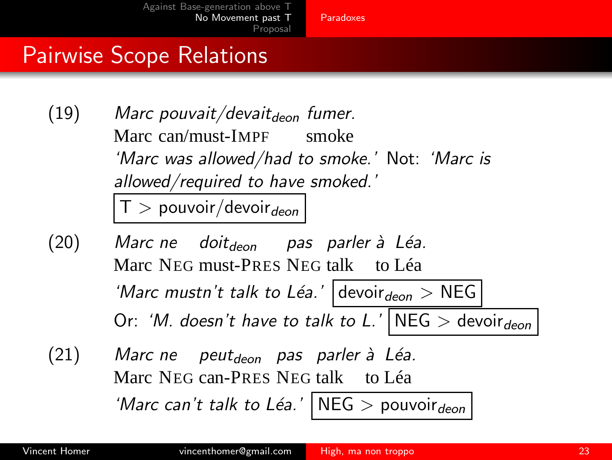- (19) Marc pouvait/devait<sub>deon</sub> fumer. Marc can/must-IMPF smoke *'Marc was allowed/had to smoke.'* Not: *'Marc is allowed/required to have smoked.'*  $T >$  pouvoir/devoir $_{deon}$
- <span id="page-22-0"></span>(20) *Marc ne doit*deon *pas parler `a L´ea.* Marc NEG must-PRES NEG talk to Léa 'Marc mustn't talk to Léa.'  $\vert$  devoir<sub>deon</sub> > NEG Or: *'M. doesn't have to talk to L.'* NEG  $>$  devoir<sub>deon</sub>
- (21) *Marc ne* Marc NEG can-PRES NEG talk to Léa *peut*deon *pas parler `a L´ea.* 'Marc can't talk to Léa.'  $NEG > \text{pouvoir}_{\text{deon}}$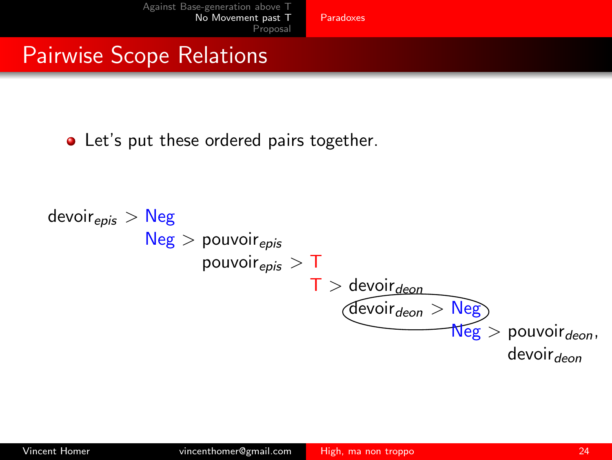• Let's put these ordered pairs together.

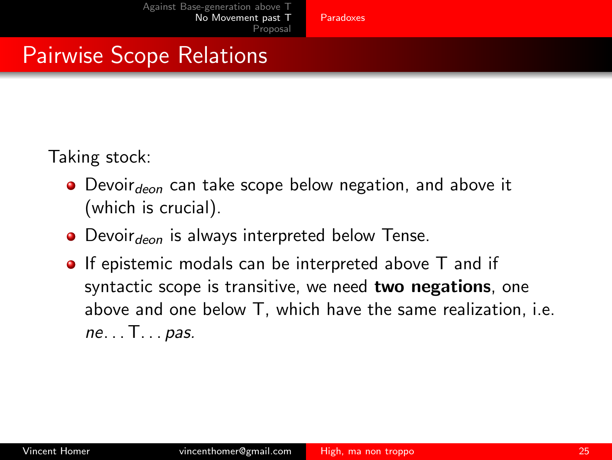Taking stock:

- $\bullet$  Devoir<sub>deon</sub> can take scope below negation, and above it (which is crucial).
- $\bullet$  Devoir $_{deon}$  is always interpreted below Tense.
- **If epistemic modals can be interpreted above T and if** syntactic scope is transitive, we need two negations, one above and one below T, which have the same realization, i.e. *ne*. . . T. . . *pas.*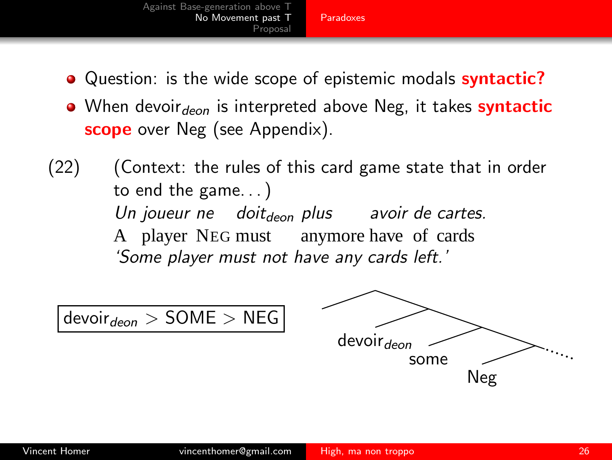- [Against Base-generation above T](#page-6-0) [No Movement past T](#page-19-0) [Proposal](#page-41-0) [Paradoxes](#page-21-0)
- Ouestion: is the wide scope of epistemic modals **syntactic?**
- When devoir $_{deon}$  is interpreted above Neg, it takes syntactic **scope** over Neg (see Appendix).
- (22) (Context: the rules of this card game state that in order to end the game. . . ) *Un joueur ne doit*deon *plus avoir de cartes.* A player NEG must anymore have of cards *'Some player must not have any cards left.'*

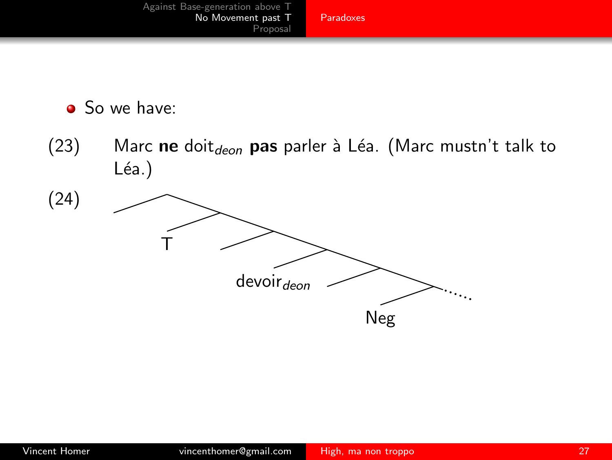

• So we have:

(23) Marc ne doit $_{deon}$  pas parler à Léa. (Marc mustn't talk to  $Léa.$ )

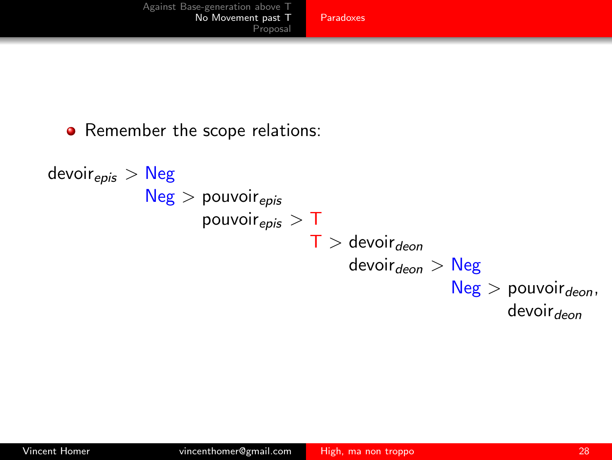#### • Remember the scope relations:

```
devoir<sub>epis</sub> > NegNeg > pouvoir_{epis}pouvoir_{epis} > T
                              T > devoir_{deon}devoir_{deon} > Neg
                                                     Neg > pouvoir_{deon},
                                                               devoir<sub>den</sub>
```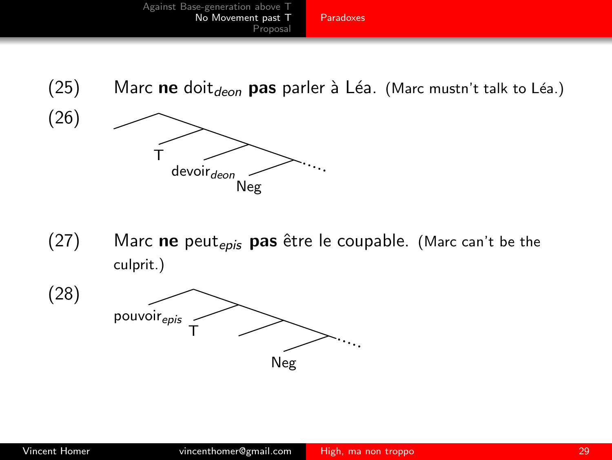



 $(27)$  Marc ne peut<sub>epis</sub> pas être le coupable. (Marc can't be the culprit.)

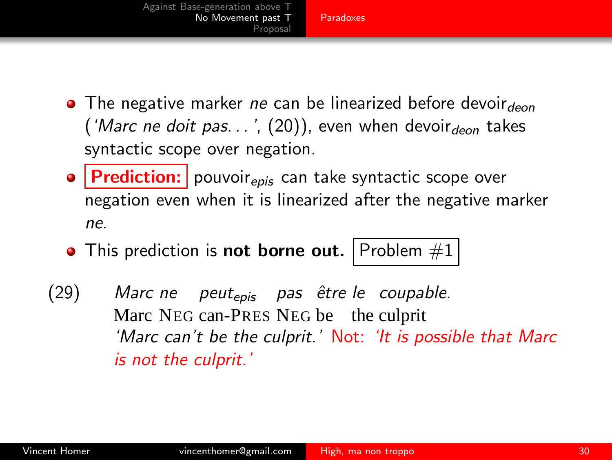- **•** The negative marker *ne* can be linearized before devoirdeon (*'Marc ne doit pas...'*, [\(20\)\)](#page-22-0), even when devoir $_{deon}$  takes syntactic scope over negation.
- $\bullet$  **Prediction:** pouvoir<sub>epis</sub> can take syntactic scope over negation even when it is linearized after the negative marker *ne*.
- This prediction is not borne out. Problem  $#1$
- (29) *Marc ne* Marc NEG can-PRES NEG be the culprit *peut*epis *pas ˆetre le coupable. 'Marc can't be the culprit.'* Not: *'It is possible that Marc is not the culprit.'*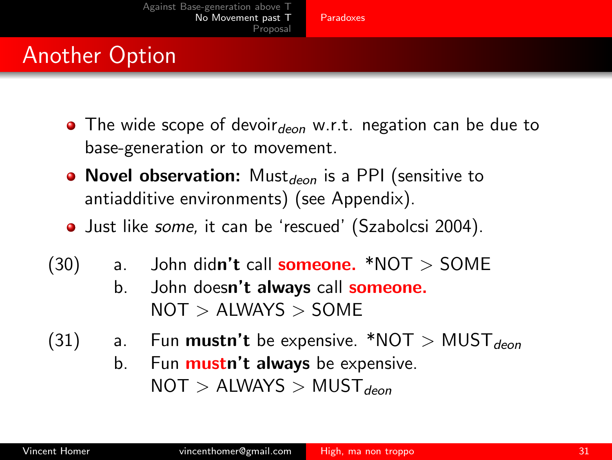# Another Option

- The wide scope of devoir $_{deon}$  w.r.t. negation can be due to base-generation or to movement.
- Novel observation: Must $_{den}$  is a PPI (sensitive to antiadditive environments) (see Appendix).
- Just like *some,* it can be 'rescued' (Szabolcsi 2004).
- $(30)$  a. John didn't call **someone.** \*NOT > SOME
	- b. John doesn't always call someone.  $NOT > ALWAYS > SOME$
- (31) a. Fun **mustn't** be expensive. \*NOT > MUST $_{den}$ 
	- b. Fun **mustn't always** be expensive.  $NOT > ALWAYS > MUST_{deop}$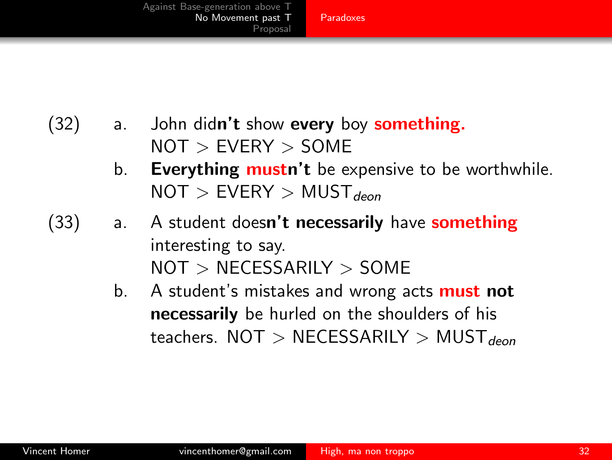- $(32)$  a. John didn't show every boy something.  $NOT > EVERY > SOME$ 
	- b. Everything mustn't be expensive to be worthwhile.  $NOT > EVERY > MUST_{deon}$
- (33) a. A student doesn't necessarily have something interesting to say. NOT > NECESSARILY > SOME
	- b. A student's mistakes and wrong acts **must not** necessarily be hurled on the shoulders of his teachers.  $NOT > NECESSARILY > MUST_{deon}$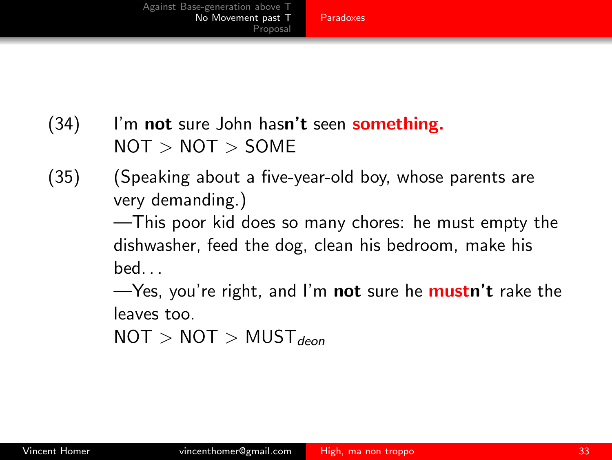### (34) I'm not sure John hasn't seen something.  $NOT > NOT > SOME$

(35) (Speaking about a five-year-old boy, whose parents are very demanding.)

> —This poor kid does so many chores: he must empty the dishwasher, feed the dog, clean his bedroom, make his  $\mathsf{h}\mathsf{e}\mathsf{d}$

> —Yes, you're right, and I'm **not** sure he **mustn't** rake the leaves too.

 $NOT > NOT > MUST_{deop}$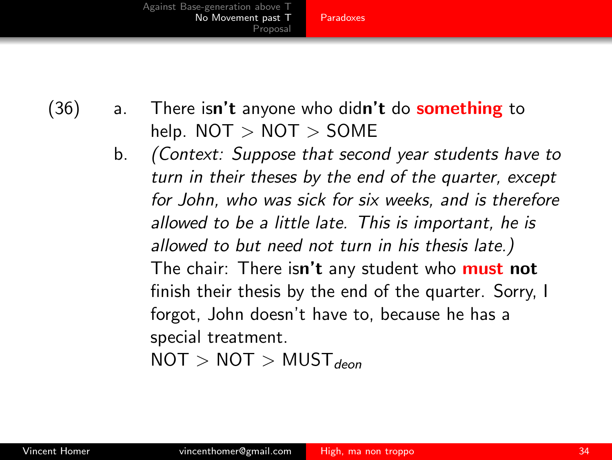[Paradoxes](#page-21-0)

 $(36)$  a. There isn't anyone who didn't do **something** to help.  $NOT > NOT > SOME$ 

> b. *(Context: Suppose that second year students have to turn in their theses by the end of the quarter, except for John, who was sick for six weeks, and is therefore allowed to be a little late. This is important, he is allowed to but need not turn in his thesis late.)* The chair: There isn't any student who must not finish their thesis by the end of the quarter. Sorry, I forgot, John doesn't have to, because he has a special treatment.

 $NOT > NOT > MUST_{deop}$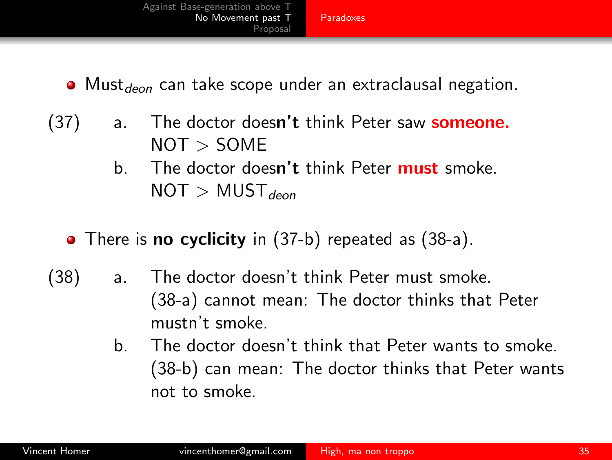<span id="page-34-0"></span>

- $\bullet$  Must<sub>deon</sub> can take scope under an extraclausal negation.
- $(37)$  a. The doctor doesn't think Peter saw **someone.**  $NOT > SOME$ 
	- b. The doctor doesn't think Peter must smoke.  $NOT > MUST_{deon}$
	- There is **no cyclicity** in [\(37-b\)](#page-34-0) repeated as [\(38-a\).](#page-34-1)
- <span id="page-34-2"></span><span id="page-34-1"></span>(38) a. The doctor doesn't think Peter must smoke. [\(38-a\)](#page-34-1) cannot mean: The doctor thinks that Peter mustn't smoke.
	- b. The doctor doesn't think that Peter wants to smoke. [\(38-b\)](#page-34-2) can mean: The doctor thinks that Peter wants not to smoke.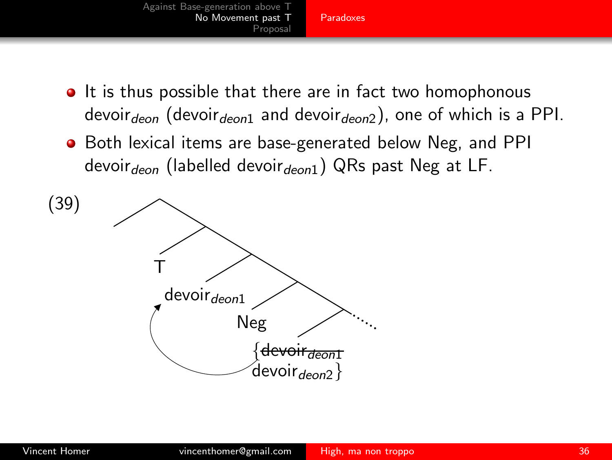

- It is thus possible that there are in fact two homophonous devoir<sub>deon</sub> (devoir<sub>deon1</sub> and devoir<sub>deon2</sub>), one of which is a PPI.
- **•** Both lexical items are base-generated below Neg, and PPI devoir $_{deon}$  (labelled devoir $_{deon1}$ ) QRs past Neg at LF.

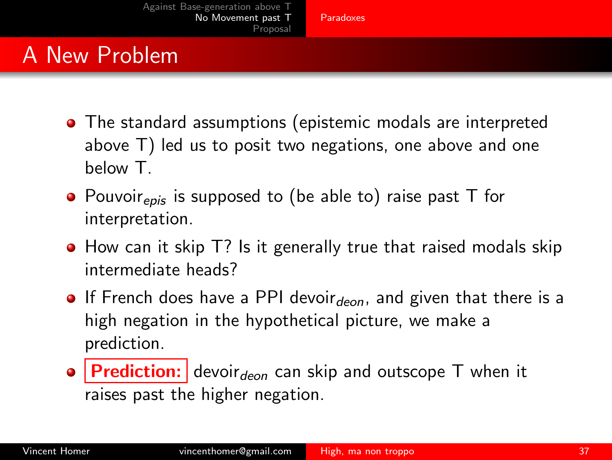## A New Problem

- The standard assumptions (epistemic modals are interpreted above T) led us to posit two negations, one above and one below T.
- $\bullet$  Pouvoir<sub>epis</sub> is supposed to (be able to) raise past T for interpretation.
- How can it skip T? Is it generally true that raised modals skip intermediate heads?
- **If French does have a PPI devoir**  $deon$ , and given that there is a high negation in the hypothetical picture, we make a prediction.
- $\bullet$  **Prediction:** devoir<sub>deon</sub> can skip and outscope T when it raises past the higher negation.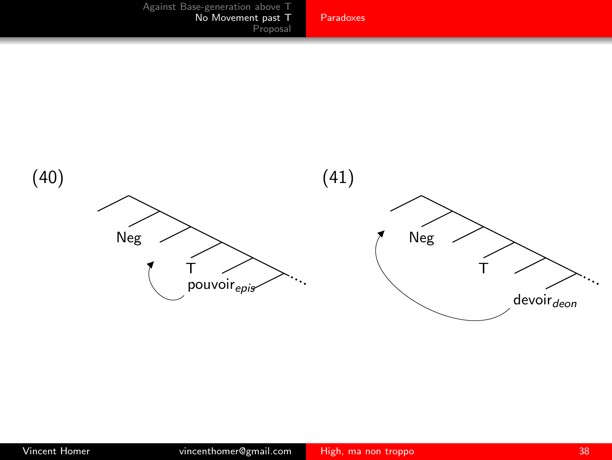

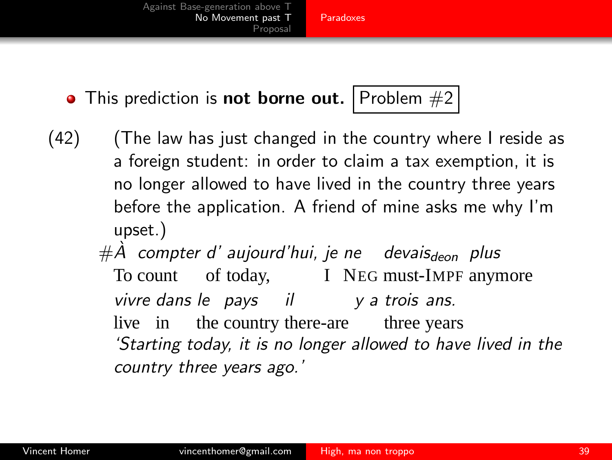[Paradoxes](#page-21-0)

 $\bullet$  This prediction is not borne out. Problem  $#2$ 

- (42) (The law has just changed in the country where I reside as a foreign student: in order to claim a tax exemption, it is no longer allowed to have lived in the country three years before the application. A friend of mine asks me why I'm upset.)
	- #*A` compter d' aujourd'hui, je ne devais*deon *plus* To count of today, I NEG must-IMPF anymore *vivre dans le pays il y a trois ans.* live in the country there-are three years *'Starting today, it is no longer allowed to have lived in the country three years ago.'*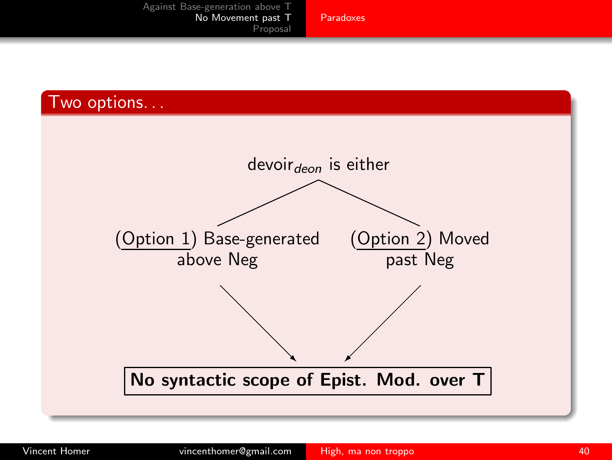

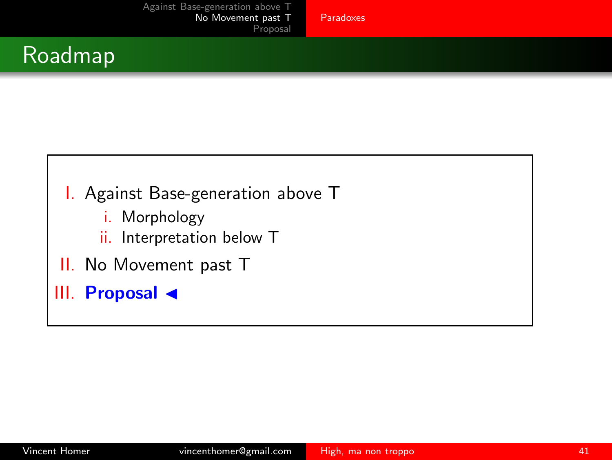[Proposal](#page-41-0)

## Roadmap



- i. Morphology
- ii. Interpretation below T
- II. No Movement past T
- III. Proposal ◀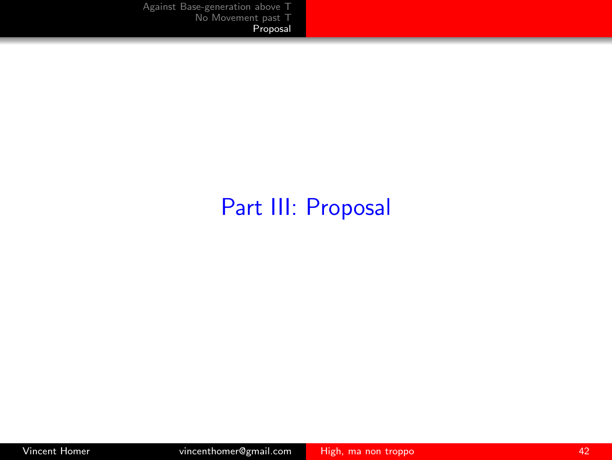## <span id="page-41-0"></span>Part III: Proposal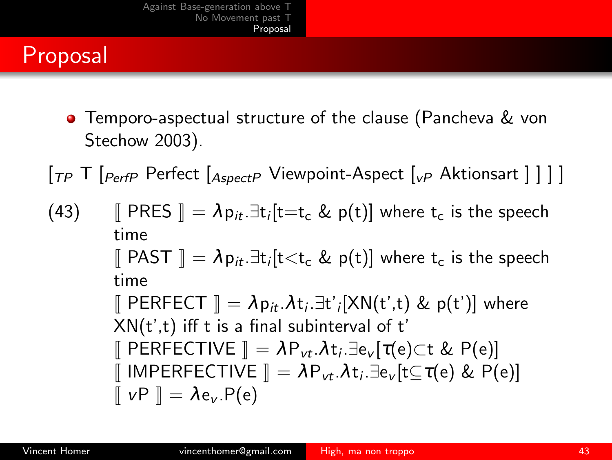# Proposal

**•** Temporo-aspectual structure of the clause (Pancheva & von Stechow 2003).

 $\lceil_{TP}$  T  $\lceil_{PerfP}$  Perfect  $\lceil_{AspectP}$  Viewpoint-Aspect  $\lceil_{VP}$  Aktionsart  $\rceil$   $\rceil$   $\rceil$ 

 $(43)$   $\parallel$  PRES  $\parallel = \lambda p_{it} \exists t_i[t=t_c \& p(t)]$  where  $t_c$  is the speech time  $\llbracket$  PAST  $\rrbracket = \lambda p_{it} . \exists t_i[t {<} t_c \& p(t)]$  where  $t_c$  is the speech time  $\llbracket$  PERFECT  $\rrbracket = \lambda p_{it}.\lambda t_i.\exists t'_{i}[\mathsf{XN}(t',t) \& p(t')]$  where  $XN(t',t)$  iff t is a final subinterval of t'  $\llbracket$  PERFECTIVE  $\rrbracket = \lambda \mathsf{P}_{\mathsf{vt}}.\lambda \mathsf{t}_i.\exists \mathsf{e}_{\mathsf{v}}[\tau(\mathsf{e}){\subset}\mathsf{t}$  & P $(\mathsf{e})\rrbracket$  $\llbracket$  IMPERFECTIVE  $\rrbracket = \lambda \mathsf{P}_{\mathsf{v} t}.\lambda \mathsf{t}_i.\exists \mathsf{e}_{\mathsf{v}}[ \mathsf{t} \mathsf{\subseteq} \mathsf{\tau}(\mathsf{e}) \ \& \ \mathsf{P}(\mathsf{e}) ]$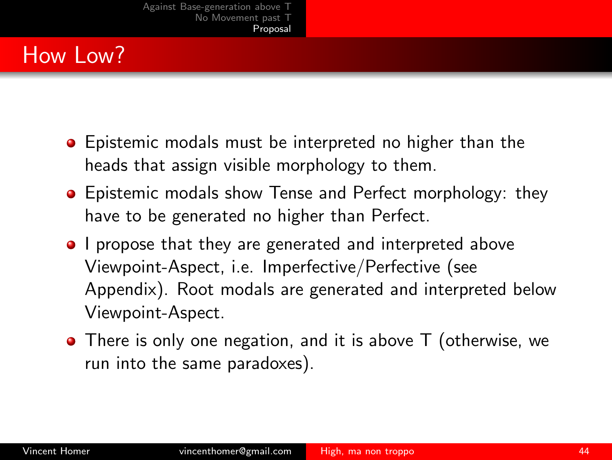# How Low?

- **•** Epistemic modals must be interpreted no higher than the heads that assign visible morphology to them.
- **•** Epistemic modals show Tense and Perfect morphology: they have to be generated no higher than Perfect.
- **I** propose that they are generated and interpreted above Viewpoint-Aspect, i.e. Imperfective/Perfective (see Appendix). Root modals are generated and interpreted below Viewpoint-Aspect.
- There is only one negation, and it is above T (otherwise, we run into the same paradoxes).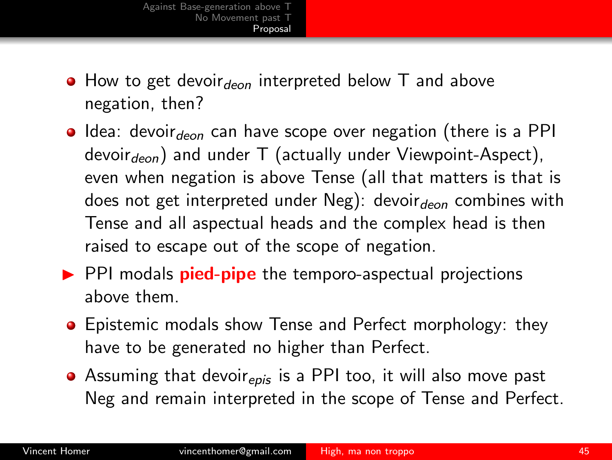- $\bullet$  How to get devoir<sub>deon</sub> interpreted below T and above negation, then?
- $\bullet$  Idea: devoir $\epsilon_{\text{ion}}$  can have scope over negation (there is a PPI devoir $_{deon}$ ) and under T (actually under Viewpoint-Aspect), even when negation is above Tense (all that matters is that is does not get interpreted under Neg): devoir $_{deon}$  combines with Tense and all aspectual heads and the complex head is then raised to escape out of the scope of negation.
- $\triangleright$  PPI modals **pied-pipe** the temporo-aspectual projections above them.
- **•** Epistemic modals show Tense and Perfect morphology: they have to be generated no higher than Perfect.
- Assuming that devoir<sub>epis</sub> is a PPI too, it will also move past Neg and remain interpreted in the scope of Tense and Perfect.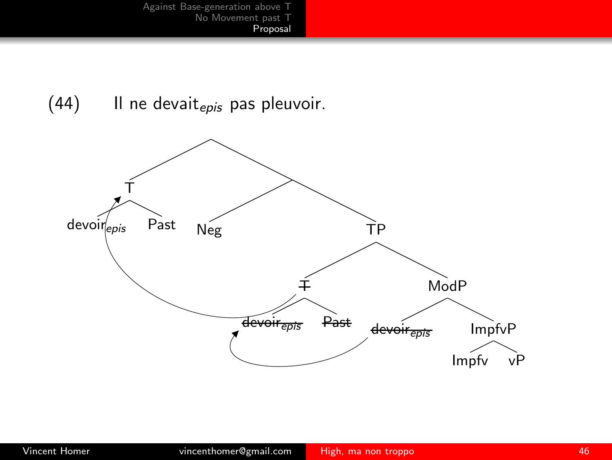$(44)$  Il ne devait<sub>epis</sub> pas pleuvoir.

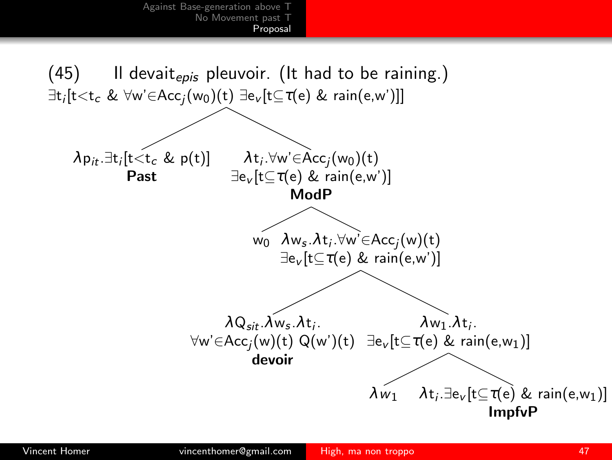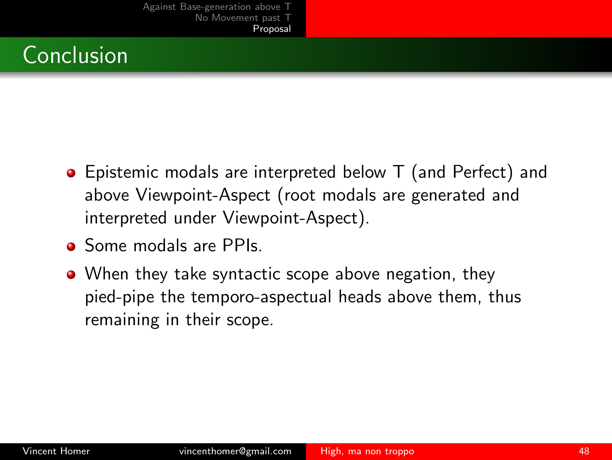

- Epistemic modals are interpreted below T (and Perfect) and above Viewpoint-Aspect (root modals are generated and interpreted under Viewpoint-Aspect).
- Some modals are PPIs.
- When they take syntactic scope above negation, they pied-pipe the temporo-aspectual heads above them, thus remaining in their scope.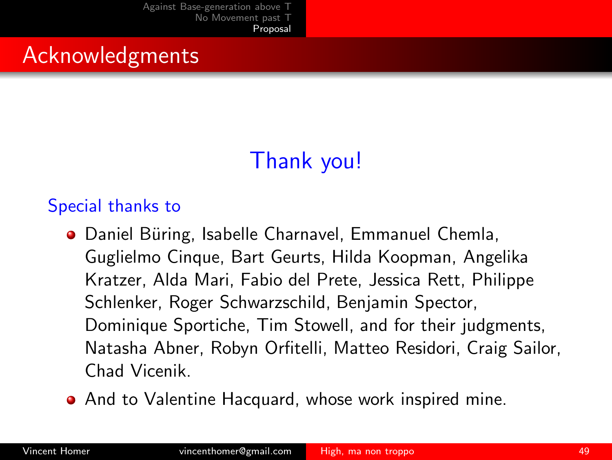[Proposal](#page-41-0)

## Acknowledgments

# <span id="page-48-0"></span>Thank you!

#### Special thanks to

- Daniel Büring, Isabelle Charnavel, Emmanuel Chemla, Guglielmo Cinque, Bart Geurts, Hilda Koopman, Angelika Kratzer, Alda Mari, Fabio del Prete, Jessica Rett, Philippe Schlenker, Roger Schwarzschild, Benjamin Spector, Dominique Sportiche, Tim Stowell, and for their judgments, Natasha Abner, Robyn Orfitelli, Matteo Residori, Craig Sailor, Chad Vicenik.
- **•** And to Valentine Hacquard, whose work inspired mine.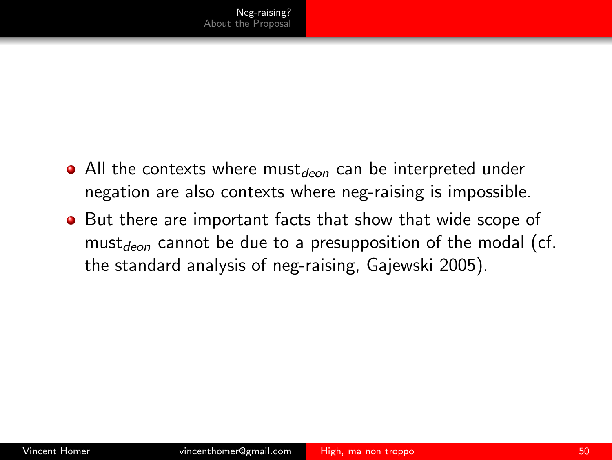- All the contexts where must<sub>deon</sub> can be interpreted under negation are also contexts where neg-raising is impossible.
- <span id="page-49-0"></span>**•** But there are important facts that show that wide scope of must<sub>deon</sub> cannot be due to a presupposition of the modal (cf. the standard analysis of neg-raising, Gajewski 2005).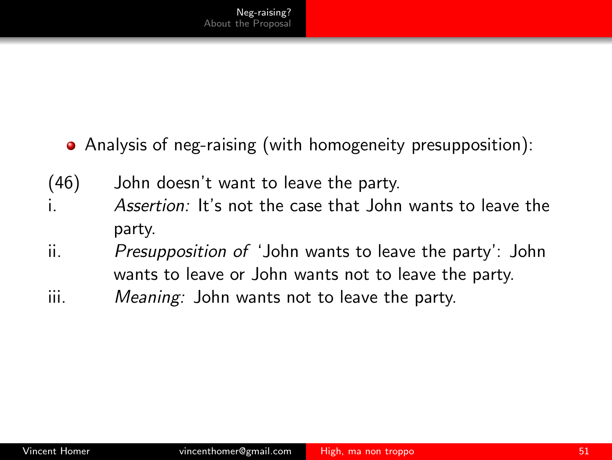- Analysis of neg-raising (with homogeneity presupposition):
- (46) John doesn't want to leave the party.
- i. *Assertion:* It's not the case that John wants to leave the party.
- ii. *Presupposition of* 'John wants to leave the party': John wants to leave or John wants not to leave the party.
- iii. *Meaning:* John wants not to leave the party.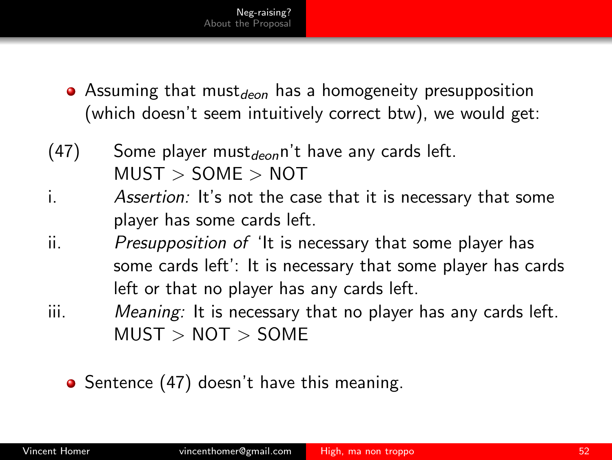- <span id="page-51-0"></span>• Assuming that must<sub>deon</sub> has a homogeneity presupposition (which doesn't seem intuitively correct btw), we would get:
- $(47)$  Some player must<sub>deon</sub> n't have any cards left.  $MUST > SOME > NOT$
- i. *Assertion:* It's not the case that it is necessary that some player has some cards left.
- ii. *Presupposition of* 'It is necessary that some player has some cards left': It is necessary that some player has cards left or that no player has any cards left.
- iii. *Meaning:* It is necessary that no player has any cards left.  $MUST > NOT > SOME$

• Sentence [\(47\)](#page-51-0) doesn't have this meaning.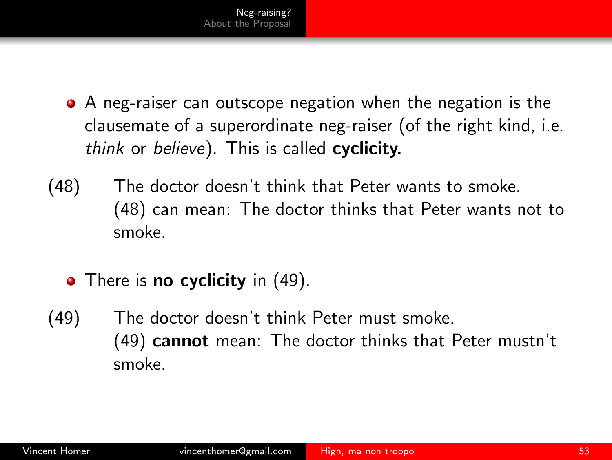- <span id="page-52-0"></span>A neg-raiser can outscope negation when the negation is the clausemate of a superordinate neg-raiser (of the right kind, i.e. *think* or *believe*). This is called cyclicity.
- (48) The doctor doesn't think that Peter wants to smoke. [\(48\)](#page-52-0) can mean: The doctor thinks that Peter wants not to smoke.
	- There is **no cyclicity** in [\(49\).](#page-52-1)
- <span id="page-52-1"></span>(49) The doctor doesn't think Peter must smoke. [\(49\)](#page-52-1) cannot mean: The doctor thinks that Peter mustn't smoke.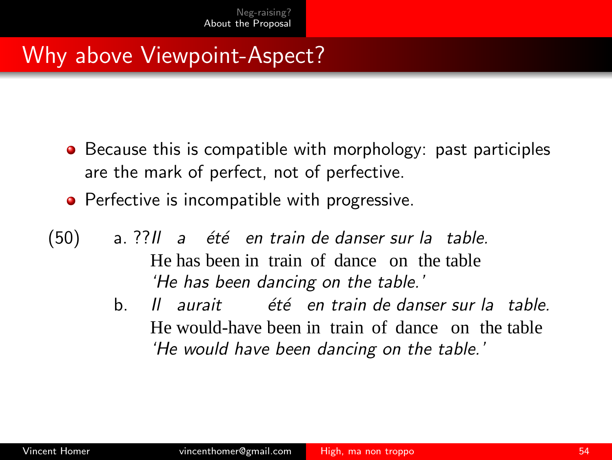- Because this is compatible with morphology: past participles are the mark of perfect, not of perfective.
- **•** Perfective is incompatible with progressive.
- <span id="page-53-0"></span>(50) a. ??*Il a ´et´e en train de danser sur la table.* He has been in train of dance on the table *'He has been dancing on the table.'*
	- b. *Il aurait ´et´e en train de danser sur la table.* He would-have been in train of dance on the table *'He would have been dancing on the table.'*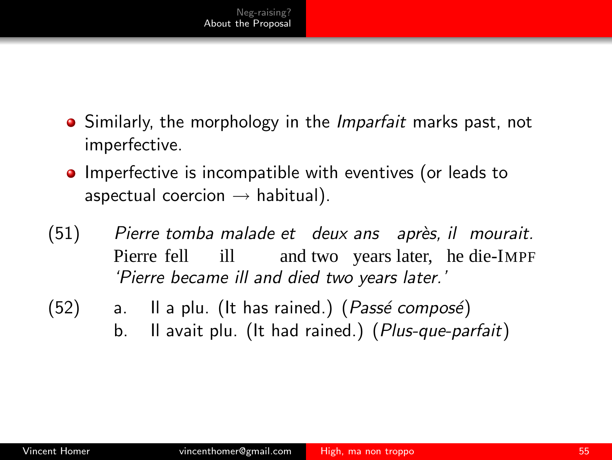- Similarly, the morphology in the *Imparfait* marks past, not imperfective.
- **•** Imperfective is incompatible with eventives (or leads to aspectual coercion  $\rightarrow$  habitual).
- (51) *Pierre tomba malade et deux ans apr`es, il mourait.* Pierre fell ill and two years later, he die-IMPF *'Pierre became ill and died two years later.'*
- (52) a. Il a plu. (It has rained.) (Passé composé) b. Il avait plu. (It had rained.) (*Plus-que-parfait*)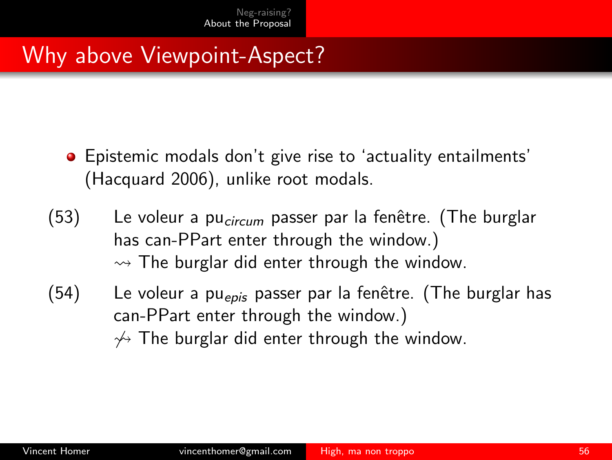- Epistemic modals don't give rise to 'actuality entailments' (Hacquard 2006), unlike root modals.
- (53) Le voleur a pu<sub>circum</sub> passer par la fenêtre. (The burglar has can-PPart enter through the window.)  $\rightarrow$  The burglar did enter through the window.
- $(54)$  Le voleur a pu<sub>epis</sub> passer par la fenêtre. (The burglar has can-PPart enter through the window.)  $\gamma$  The burglar did enter through the window.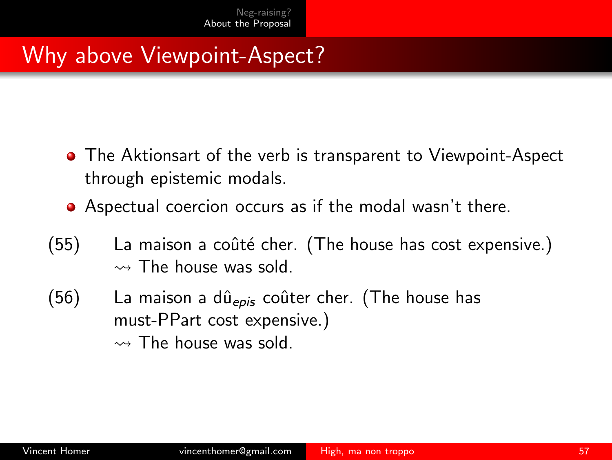- **•** The Aktionsart of the verb is transparent to Viewpoint-Aspect through epistemic modals.
- Aspectual coercion occurs as if the modal wasn't there.
- $(55)$  La maison a coûté cher. (The house has cost expensive.)  $\rightsquigarrow$  The house was sold.
- (56) La maison a dû<sub>epis</sub> coûter cher. (The house has must-PPart cost expensive.)  $\rightsquigarrow$  The house was sold.